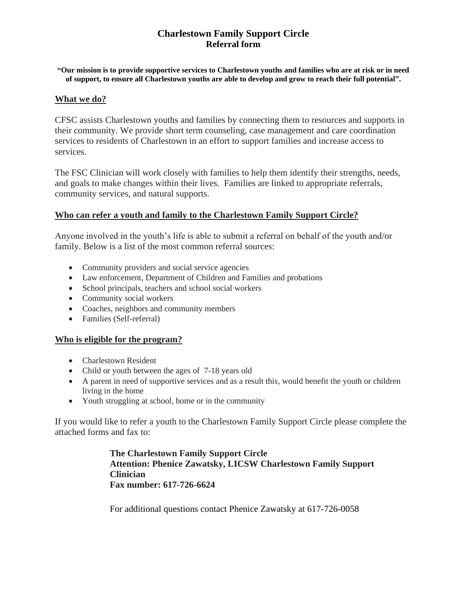# **Charlestown Family Support Circle Referral form**

#### **"Our mission is to provide supportive services to Charlestown youths and families who are at risk or in need of support, to ensure all Charlestown youths are able to develop and grow to reach their full potential".**

#### **What we do?**

CFSC assists Charlestown youths and families by connecting them to resources and supports in their community. We provide short term counseling, case management and care coordination services to residents of Charlestown in an effort to support families and increase access to services.

The FSC Clinician will work closely with families to help them identify their strengths, needs, and goals to make changes within their lives. Families are linked to appropriate referrals, community services, and natural supports.

#### **Who can refer a youth and family to the Charlestown Family Support Circle?**

Anyone involved in the youth's life is able to submit a referral on behalf of the youth and/or family. Below is a list of the most common referral sources:

- Community providers and social service agencies
- Law enforcement, Department of Children and Families and probations
- School principals, teachers and school social workers
- Community social workers
- Coaches, neighbors and community members
- Families (Self-referral)

## **Who is eligible for the program?**

- Charlestown Resident
- Child or youth between the ages of 7-18 years old
- A parent in need of supportive services and as a result this, would benefit the youth or children living in the home
- Youth struggling at school, home or in the community

If you would like to refer a youth to the Charlestown Family Support Circle please complete the attached forms and fax to:

> **The Charlestown Family Support Circle Attention: Phenice Zawatsky, LICSW Charlestown Family Support Clinician Fax number: 617-726-6624**

For additional questions contact Phenice Zawatsky at 617-726-0058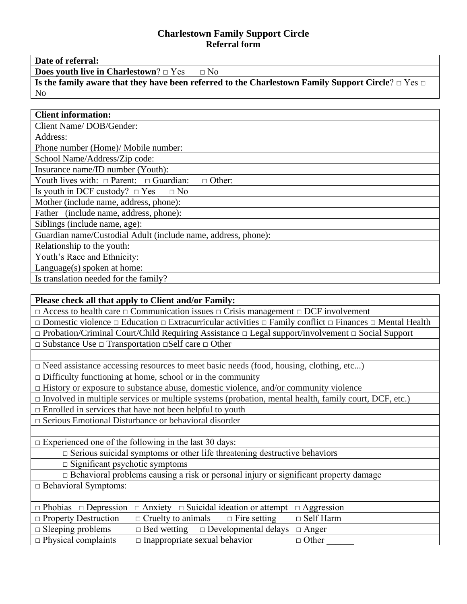## **Charlestown Family Support Circle Referral form**

**Date of referral:**

**Does youth live in Charlestown**? □ Yes □ No

**Is the family aware that they have been referred to the Charlestown Family Support Circle**? □ Yes □ No

## **Client information:**

Client Name/ DOB/Gender:

Address:

Phone number (Home)/ Mobile number:

School Name/Address/Zip code:

Insurance name/ID number (Youth):

Youth lives with:  $\Box$  Parent:  $\Box$  Guardian:  $\Box$  Other:

Is youth in DCF custody?  $\Box$  Yes  $\Box$  No

Mother (include name, address, phone):

Father (include name, address, phone):

Siblings (include name, age):

Guardian name/Custodial Adult (include name, address, phone):

Relationship to the youth:

Youth's Race and Ethnicity:

Language(s) spoken at home:

Is translation needed for the family?

| Please check all that apply to Client and/or Family:                                                                                    |  |  |  |
|-----------------------------------------------------------------------------------------------------------------------------------------|--|--|--|
| $\Box$ Access to health care $\Box$ Communication issues $\Box$ Crisis management $\Box$ DCF involvement                                |  |  |  |
| $\Box$ Domestic violence $\Box$ Education $\Box$ Extracurricular activities $\Box$ Family conflict $\Box$ Finances $\Box$ Mental Health |  |  |  |
| $\Box$ Probation/Criminal Court/Child Requiring Assistance $\Box$ Legal support/involvement $\Box$ Social Support                       |  |  |  |
| $\Box$ Substance Use $\Box$ Transportation $\Box$ Self care $\Box$ Other                                                                |  |  |  |
|                                                                                                                                         |  |  |  |
| $\Box$ Need assistance accessing resources to meet basic needs (food, housing, clothing, etc)                                           |  |  |  |
| $\Box$ Difficulty functioning at home, school or in the community                                                                       |  |  |  |
| $\Box$ History or exposure to substance abuse, domestic violence, and/or community violence                                             |  |  |  |
| $\Box$ Involved in multiple services or multiple systems (probation, mental health, family court, DCF, etc.)                            |  |  |  |
| $\Box$ Enrolled in services that have not been helpful to youth                                                                         |  |  |  |
| $\square$ Serious Emotional Disturbance or behavioral disorder                                                                          |  |  |  |
|                                                                                                                                         |  |  |  |
| $\Box$ Experienced one of the following in the last 30 days:                                                                            |  |  |  |
| $\Box$ Serious suicidal symptoms or other life threatening destructive behaviors                                                        |  |  |  |
| $\square$ Significant psychotic symptoms                                                                                                |  |  |  |
| □ Behavioral problems causing a risk or personal injury or significant property damage                                                  |  |  |  |
| $\Box$ Behavioral Symptoms:                                                                                                             |  |  |  |
|                                                                                                                                         |  |  |  |
| $\Box$ Phobias $\Box$ Depression<br>$\Box$ Anxiety $\Box$ Suicidal ideation or attempt $\Box$ Aggression                                |  |  |  |
| $\Box$ Cruelty to animals<br>$\Box$ Self Harm<br>$\Box$ Property Destruction<br>$\Box$ Fire setting                                     |  |  |  |
| $\Box$ Bed wetting $\Box$ Developmental delays<br>$\Box$ Sleeping problems<br>$\Box$ Anger                                              |  |  |  |

 $\Box$  Physical complaints  $\Box$  Inappropriate sexual behavior  $\Box$  Other